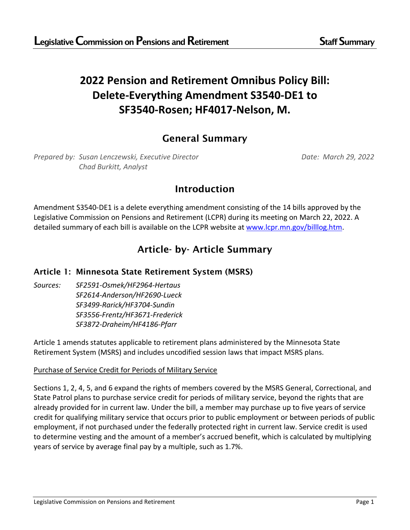# **2022 Pension and Retirement Omnibus Policy Bill: Delete-Everything Amendment S3540-DE1 to SF3540-Rosen; HF4017-Nelson, M.**

# General Summary

*Prepared by: Susan Lenczewski, Executive Director Date: March 29, 2022 Chad Burkitt, Analyst*

# Introduction

Amendment S3540-DE1 is a delete everything amendment consisting of the 14 bills approved by the Legislative Commission on Pensions and Retirement (LCPR) during its meeting on March 22, 2022. A detailed summary of each bill is available on the LCPR website at [www.lcpr.mn.gov/billlog.htm.](http://www.lcpr.leg.mn/billlog.htm)

# Article- by- Article Summary

## Article 1: Minnesota State Retirement System (MSRS)

*Sources: SF2591-Osmek/HF2964-Hertaus SF2614-Anderson/HF2690-Lueck SF3499-Rarick/HF3704-Sundin SF3556-Frentz/HF3671-Frederick SF3872-Draheim/HF4186-Pfarr*

Article 1 amends statutes applicable to retirement plans administered by the Minnesota State Retirement System (MSRS) and includes uncodified session laws that impact MSRS plans.

#### Purchase of Service Credit for Periods of Military Service

Sections 1, 2, 4, 5, and 6 expand the rights of members covered by the MSRS General, Correctional, and State Patrol plans to purchase service credit for periods of military service, beyond the rights that are already provided for in current law. Under the bill, a member may purchase up to five years of service credit for qualifying military service that occurs prior to public employment or between periods of public employment, if not purchased under the federally protected right in current law. Service credit is used to determine vesting and the amount of a member's accrued benefit, which is calculated by multiplying years of service by average final pay by a multiple, such as 1.7%.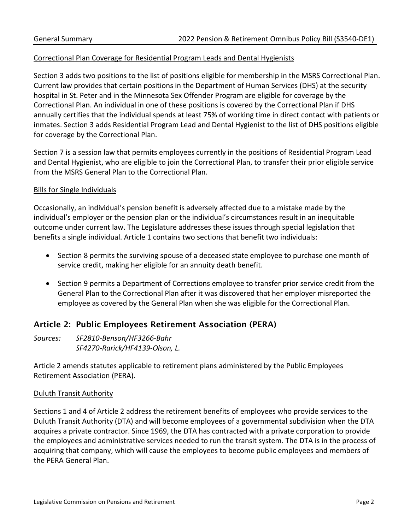#### Correctional Plan Coverage for Residential Program Leads and Dental Hygienists

Section 3 adds two positions to the list of positions eligible for membership in the MSRS Correctional Plan. Current law provides that certain positions in the Department of Human Services (DHS) at the security hospital in St. Peter and in the Minnesota Sex Offender Program are eligible for coverage by the Correctional Plan. An individual in one of these positions is covered by the Correctional Plan if DHS annually certifies that the individual spends at least 75% of working time in direct contact with patients or inmates. Section 3 adds Residential Program Lead and Dental Hygienist to the list of DHS positions eligible for coverage by the Correctional Plan.

Section 7 is a session law that permits employees currently in the positions of Residential Program Lead and Dental Hygienist, who are eligible to join the Correctional Plan, to transfer their prior eligible service from the MSRS General Plan to the Correctional Plan.

#### Bills for Single Individuals

Occasionally, an individual's pension benefit is adversely affected due to a mistake made by the individual's employer or the pension plan or the individual's circumstances result in an inequitable outcome under current law. The Legislature addresses these issues through special legislation that benefits a single individual. Article 1 contains two sections that benefit two individuals:

- Section 8 permits the surviving spouse of a deceased state employee to purchase one month of service credit, making her eligible for an annuity death benefit.
- Section 9 permits a Department of Corrections employee to transfer prior service credit from the General Plan to the Correctional Plan after it was discovered that her employer misreported the employee as covered by the General Plan when she was eligible for the Correctional Plan.

## Article 2: Public Employees Retirement Association (PERA)

*Sources: SF2810-Benson/HF3266-Bahr SF4270-Rarick/HF4139-Olson, L.*

Article 2 amends statutes applicable to retirement plans administered by the Public Employees Retirement Association (PERA).

#### Duluth Transit Authority

Sections 1 and 4 of Article 2 address the retirement benefits of employees who provide services to the Duluth Transit Authority (DTA) and will become employees of a governmental subdivision when the DTA acquires a private contractor. Since 1969, the DTA has contracted with a private corporation to provide the employees and administrative services needed to run the transit system. The DTA is in the process of acquiring that company, which will cause the employees to become public employees and members of the PERA General Plan.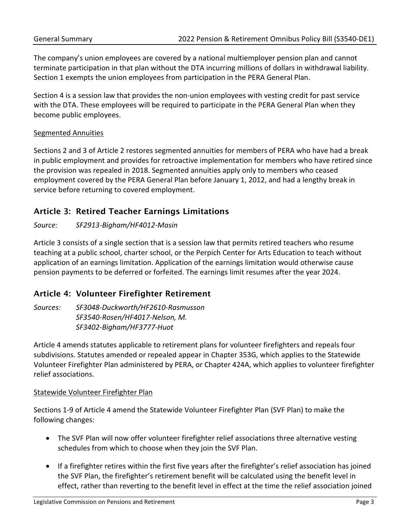The company's union employees are covered by a national multiemployer pension plan and cannot terminate participation in that plan without the DTA incurring millions of dollars in withdrawal liability. Section 1 exempts the union employees from participation in the PERA General Plan.

Section 4 is a session law that provides the non-union employees with vesting credit for past service with the DTA. These employees will be required to participate in the PERA General Plan when they become public employees.

#### Segmented Annuities

Sections 2 and 3 of Article 2 restores segmented annuities for members of PERA who have had a break in public employment and provides for retroactive implementation for members who have retired since the provision was repealed in 2018. Segmented annuities apply only to members who ceased employment covered by the PERA General Plan before January 1, 2012, and had a lengthy break in service before returning to covered employment.

## Article 3: Retired Teacher Earnings Limitations

#### *Source: SF2913-Bigham/HF4012-Masin*

Article 3 consists of a single section that is a session law that permits retired teachers who resume teaching at a public school, charter school, or the Perpich Center for Arts Education to teach without application of an earnings limitation. Application of the earnings limitation would otherwise cause pension payments to be deferred or forfeited. The earnings limit resumes after the year 2024.

## Article 4: Volunteer Firefighter Retirement

*Sources: SF3048-Duckworth/HF2610-Rasmusson SF3540-Rosen/HF4017-Nelson, M. SF3402-Bigham/HF3777-Huot*

Article 4 amends statutes applicable to retirement plans for volunteer firefighters and repeals four subdivisions. Statutes amended or repealed appear in Chapter 353G, which applies to the Statewide Volunteer Firefighter Plan administered by PERA, or Chapter 424A, which applies to volunteer firefighter relief associations.

#### Statewide Volunteer Firefighter Plan

Sections 1-9 of Article 4 amend the Statewide Volunteer Firefighter Plan (SVF Plan) to make the following changes:

- The SVF Plan will now offer volunteer firefighter relief associations three alternative vesting schedules from which to choose when they join the SVF Plan.
- If a firefighter retires within the first five years after the firefighter's relief association has joined the SVF Plan, the firefighter's retirement benefit will be calculated using the benefit level in effect, rather than reverting to the benefit level in effect at the time the relief association joined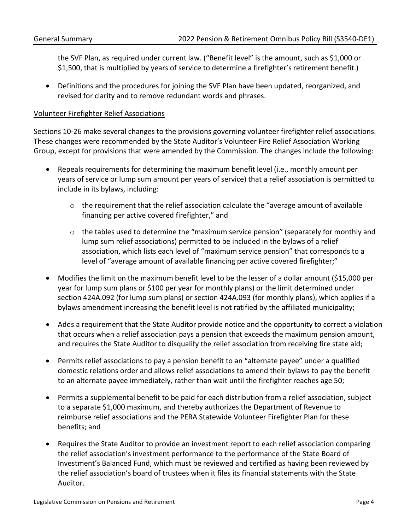the SVF Plan, as required under current law. ("Benefit level" is the amount, such as \$1,000 or \$1,500, that is multiplied by years of service to determine a firefighter's retirement benefit.)

• Definitions and the procedures for joining the SVF Plan have been updated, reorganized, and revised for clarity and to remove redundant words and phrases.

#### Volunteer Firefighter Relief Associations

Sections 10-26 make several changes to the provisions governing volunteer firefighter relief associations. These changes were recommended by the State Auditor's Volunteer Fire Relief Association Working Group, except for provisions that were amended by the Commission. The changes include the following:

- Repeals requirements for determining the maximum benefit level (i.e., monthly amount per years of service or lump sum amount per years of service) that a relief association is permitted to include in its bylaws, including:
	- $\circ$  the requirement that the relief association calculate the "average amount of available financing per active covered firefighter," and
	- o the tables used to determine the "maximum service pension" (separately for monthly and lump sum relief associations) permitted to be included in the bylaws of a relief association, which lists each level of "maximum service pension" that corresponds to a level of "average amount of available financing per active covered firefighter;"
- Modifies the limit on the maximum benefit level to be the lesser of a dollar amount (\$15,000 per year for lump sum plans or \$100 per year for monthly plans) or the limit determined under section 424A.092 (for lump sum plans) or section 424A.093 (for monthly plans), which applies if a bylaws amendment increasing the benefit level is not ratified by the affiliated municipality;
- Adds a requirement that the State Auditor provide notice and the opportunity to correct a violation that occurs when a relief association pays a pension that exceeds the maximum pension amount, and requires the State Auditor to disqualify the relief association from receiving fire state aid;
- Permits relief associations to pay a pension benefit to an "alternate payee" under a qualified domestic relations order and allows relief associations to amend their bylaws to pay the benefit to an alternate payee immediately, rather than wait until the firefighter reaches age 50;
- Permits a supplemental benefit to be paid for each distribution from a relief association, subject to a separate \$1,000 maximum, and thereby authorizes the Department of Revenue to reimburse relief associations and the PERA Statewide Volunteer Firefighter Plan for these benefits; and
- Requires the State Auditor to provide an investment report to each relief association comparing the relief association's investment performance to the performance of the State Board of Investment's Balanced Fund, which must be reviewed and certified as having been reviewed by the relief association's board of trustees when it files its financial statements with the State Auditor.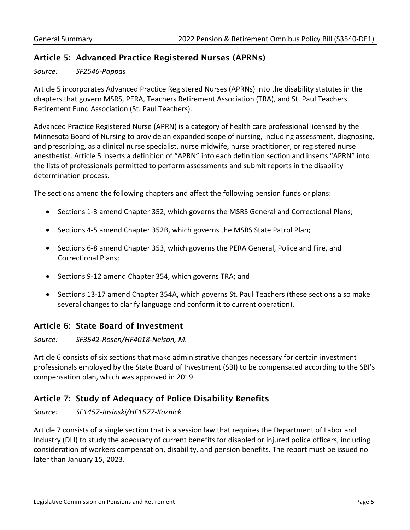## Article 5: Advanced Practice Registered Nurses (APRNs)

*Source: SF2546-Pappas*

Article 5 incorporates Advanced Practice Registered Nurses (APRNs) into the disability statutes in the chapters that govern MSRS, PERA, Teachers Retirement Association (TRA), and St. Paul Teachers Retirement Fund Association (St. Paul Teachers).

Advanced Practice Registered Nurse (APRN) is a category of health care professional licensed by the Minnesota Board of Nursing to provide an expanded scope of nursing, including assessment, diagnosing, and prescribing, as a clinical nurse specialist, nurse midwife, nurse practitioner, or registered nurse anesthetist. Article 5 inserts a definition of "APRN" into each definition section and inserts "APRN" into the lists of professionals permitted to perform assessments and submit reports in the disability determination process.

The sections amend the following chapters and affect the following pension funds or plans:

- Sections 1-3 amend Chapter 352, which governs the MSRS General and Correctional Plans;
- Sections 4-5 amend Chapter 352B, which governs the MSRS State Patrol Plan;
- Sections 6-8 amend Chapter 353, which governs the PERA General, Police and Fire, and Correctional Plans;
- Sections 9-12 amend Chapter 354, which governs TRA; and
- Sections 13-17 amend Chapter 354A, which governs St. Paul Teachers (these sections also make several changes to clarify language and conform it to current operation).

## Article 6: State Board of Investment

*Source: SF3542-Rosen/HF4018-Nelson, M.*

Article 6 consists of six sections that make administrative changes necessary for certain investment professionals employed by the State Board of Investment (SBI) to be compensated according to the SBI's compensation plan, which was approved in 2019.

## Article 7: Study of Adequacy of Police Disability Benefits

*Source: SF1457-Jasinski/HF1577-Koznick*

Article 7 consists of a single section that is a session law that requires the Department of Labor and Industry (DLI) to study the adequacy of current benefits for disabled or injured police officers, including consideration of workers compensation, disability, and pension benefits. The report must be issued no later than January 15, 2023.